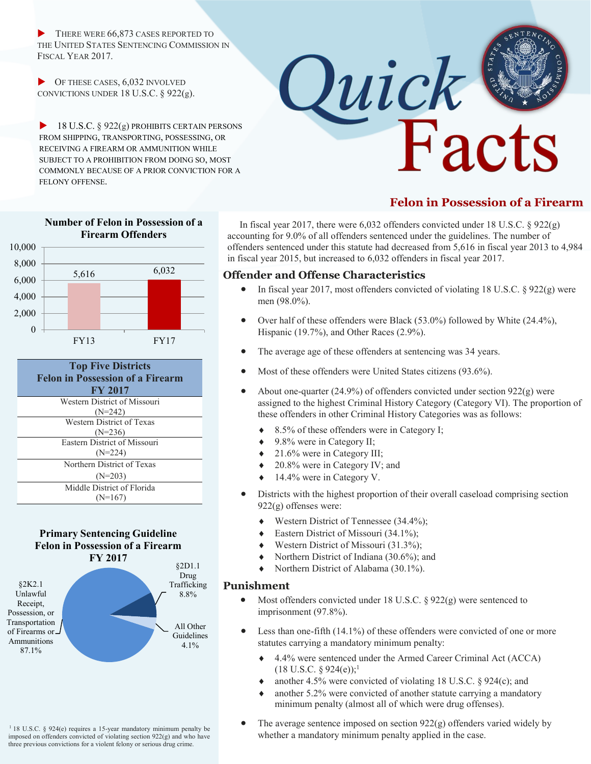THERE WERE 66,873 CASES REPORTED TO THE UNITED STATES SENTENCING COMMISSION IN FISCAL YEAR 2017.

 $\triangleright$  OF THESE CASES, 6,032 INVOLVED CONVICTIONS UNDER 18 U.S.C. § 922(g).

 $\blacktriangleright$  18 U.S.C. § 922(g) PROHIBITS CERTAIN PERSONS FROM SHIPPING, TRANSPORTING, POSSESSING, OR RECEIVING A FIREARM OR AMMUNITION WHILE SUBJECT TO A PROHIBITION FROM DOING SO, MOST COMMONLY BECAUSE OF A PRIOR CONVICTION FOR A FELONY OFFENSE.

**Number of Felon in Possession of a Firearm Offenders**



# **Felon in Possession of a Firearm**

 In fiscal year 2017, there were 6,032 offenders convicted under 18 U.S.C. § 922(g) accounting for 9.0% of all offenders sentenced under the guidelines. The number of offenders sentenced under this statute had decreased from 5,616 in fiscal year 2013 to 4,984 in fiscal year 2015, but increased to 6,032 offenders in fiscal year 2017.

### **Offender and Offense Characteristics**

- In fiscal year 2017, most offenders convicted of violating 18 U.S.C.  $\S$  922(g) were men (98.0%).
- Over half of these offenders were Black (53.0%) followed by White (24.4%), Hispanic (19.7%), and Other Races (2.9%).
- The average age of these offenders at sentencing was 34 years.
- Most of these offenders were United States citizens (93.6%).
- About one-quarter  $(24.9\%)$  of offenders convicted under section  $922(g)$  were assigned to the highest Criminal History Category (Category VI). The proportion of these offenders in other Criminal History Categories was as follows:
	- 8.5% of these offenders were in Category I;
	- $\triangleleft$  9.8% were in Category II;
	- 21.6% were in Category III;
	- 20.8% were in Category IV; and
	- ◆ 14.4% were in Category V.
- Districts with the highest proportion of their overall caseload comprising section 922(g) offenses were:
	- Western District of Tennessee (34.4%);
	- ◆ Eastern District of Missouri (34.1%);
	- ◆ Western District of Missouri (31.3%);
	- Northern District of Indiana (30.6%); and
	- Northern District of Alabama (30.1%).

### **Punishment**

- Most offenders convicted under 18 U.S.C.  $\S 922(g)$  were sentenced to imprisonment (97.8%).
- Less than one-fifth  $(14.1\%)$  of these offenders were convicted of one or more statutes carrying a mandatory minimum penalty:
	- 4.4% were sentenced under the Armed Career Criminal Act (ACCA)  $(18 \text{ U.S.C. } § 924(e))$ ;<sup>1</sup>
	- another 4.5% were convicted of violating 18 U.S.C. § 924(c); and
	- another  $5.2\%$  were convicted of another statute carrying a mandatory minimum penalty (almost all of which were drug offenses).
- The average sentence imposed on section  $922(g)$  offenders varied widely by whether a mandatory minimum penalty applied in the case.



| Western District of Missouri |
|------------------------------|
| $(N=242)$                    |
| Western District of Texas    |
| $(N=236)$                    |
| Eastern District of Missouri |
| $(N=224)$                    |
| Northern District of Texas   |
| $(N=203)$                    |
| Middle District of Florida   |
| $(N=167)$                    |
|                              |

### **Primary Sentencing Guideline Felon in Possession of a Firearm FY 2017**



<sup>1</sup> 18 U.S.C. § 924(e) requires a 15-year mandatory minimum penalty be imposed on offenders convicted of violating section 922(g) and who have three previous convictions for a violent felony or serious drug crime.